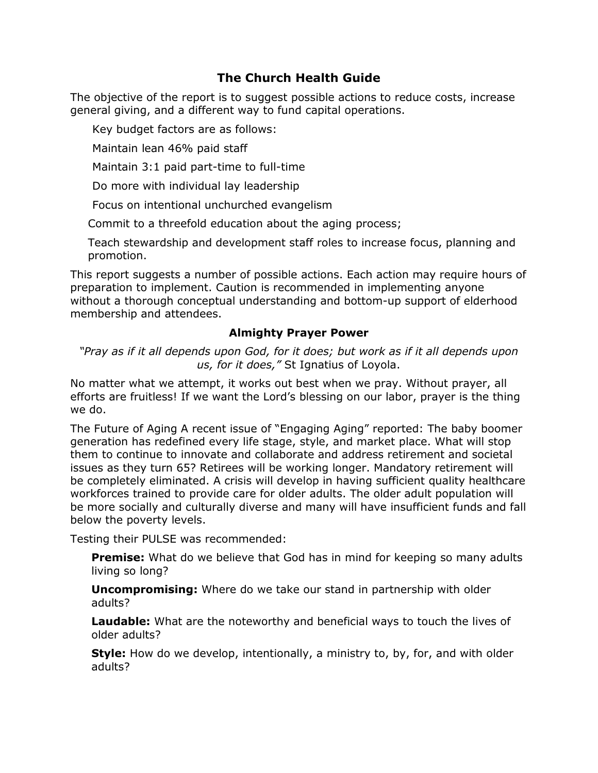# **The Church Health Guide**

The objective of the report is to suggest possible actions to reduce costs, increase general giving, and a different way to fund capital operations.

Key budget factors are as follows:

Maintain lean 46% paid staff

Maintain 3:1 paid part-time to full-time

Do more with individual lay leadership

Focus on intentional unchurched evangelism

Commit to a threefold education about the aging process;

Teach stewardship and development staff roles to increase focus, planning and promotion.

This report suggests a number of possible actions. Each action may require hours of preparation to implement. Caution is recommended in implementing anyone without a thorough conceptual understanding and bottom-up support of elderhood membership and attendees.

### **Almighty Prayer Power**

*"Pray as if it all depends upon God, for it does; but work as if it all depends upon us, for it does,"* St Ignatius of Loyola.

No matter what we attempt, it works out best when we pray. Without prayer, all efforts are fruitless! If we want the Lord's blessing on our labor, prayer is the thing we do.

The Future of Aging A recent issue of "Engaging Aging" reported: The baby boomer generation has redefined every life stage, style, and market place. What will stop them to continue to innovate and collaborate and address retirement and societal issues as they turn 65? Retirees will be working longer. Mandatory retirement will be completely eliminated. A crisis will develop in having sufficient quality healthcare workforces trained to provide care for older adults. The older adult population will be more socially and culturally diverse and many will have insufficient funds and fall below the poverty levels.

Testing their PULSE was recommended:

**Premise:** What do we believe that God has in mind for keeping so many adults living so long?

**Uncompromising:** Where do we take our stand in partnership with older adults?

**Laudable:** What are the noteworthy and beneficial ways to touch the lives of older adults?

**Style:** How do we develop, intentionally, a ministry to, by, for, and with older adults?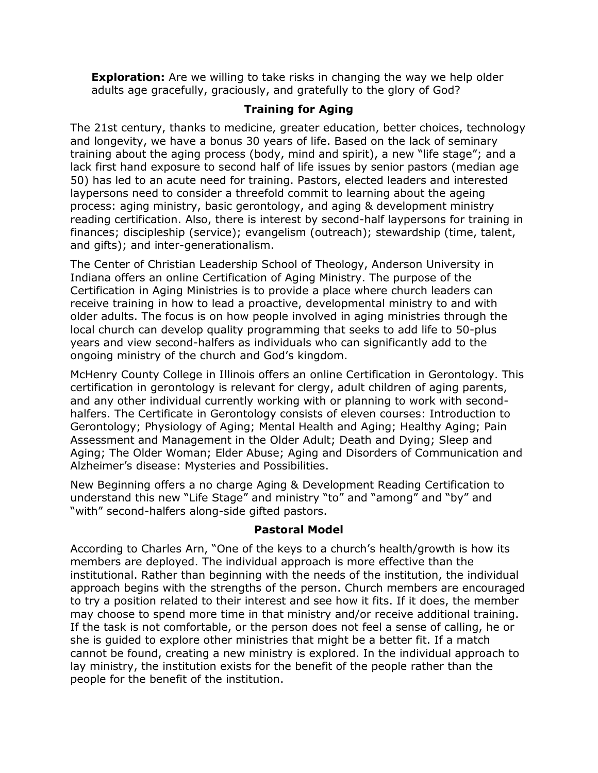**Exploration:** Are we willing to take risks in changing the way we help older adults age gracefully, graciously, and gratefully to the glory of God?

## **Training for Aging**

The 21st century, thanks to medicine, greater education, better choices, technology and longevity, we have a bonus 30 years of life. Based on the lack of seminary training about the aging process (body, mind and spirit), a new "life stage"; and a lack first hand exposure to second half of life issues by senior pastors (median age 50) has led to an acute need for training. Pastors, elected leaders and interested laypersons need to consider a threefold commit to learning about the ageing process: aging ministry, basic gerontology, and aging & development ministry reading certification. Also, there is interest by second-half laypersons for training in finances; discipleship (service); evangelism (outreach); stewardship (time, talent, and gifts); and inter-generationalism.

The Center of Christian Leadership School of Theology, Anderson University in Indiana offers an online Certification of Aging Ministry. The purpose of the Certification in Aging Ministries is to provide a place where church leaders can receive training in how to lead a proactive, developmental ministry to and with older adults. The focus is on how people involved in aging ministries through the local church can develop quality programming that seeks to add life to 50-plus years and view second-halfers as individuals who can significantly add to the ongoing ministry of the church and God's kingdom.

McHenry County College in Illinois offers an online Certification in Gerontology. This certification in gerontology is relevant for clergy, adult children of aging parents, and any other individual currently working with or planning to work with secondhalfers. The Certificate in Gerontology consists of eleven courses: Introduction to Gerontology; Physiology of Aging; Mental Health and Aging; Healthy Aging; Pain Assessment and Management in the Older Adult; Death and Dying; Sleep and Aging; The Older Woman; Elder Abuse; Aging and Disorders of Communication and Alzheimer's disease: Mysteries and Possibilities.

New Beginning offers a no charge Aging & Development Reading Certification to understand this new "Life Stage" and ministry "to" and "among" and "by" and "with" second-halfers along-side gifted pastors.

#### **Pastoral Model**

According to Charles Arn, "One of the keys to a church's health/growth is how its members are deployed. The individual approach is more effective than the institutional. Rather than beginning with the needs of the institution, the individual approach begins with the strengths of the person. Church members are encouraged to try a position related to their interest and see how it fits. If it does, the member may choose to spend more time in that ministry and/or receive additional training. If the task is not comfortable, or the person does not feel a sense of calling, he or she is guided to explore other ministries that might be a better fit. If a match cannot be found, creating a new ministry is explored. In the individual approach to lay ministry, the institution exists for the benefit of the people rather than the people for the benefit of the institution.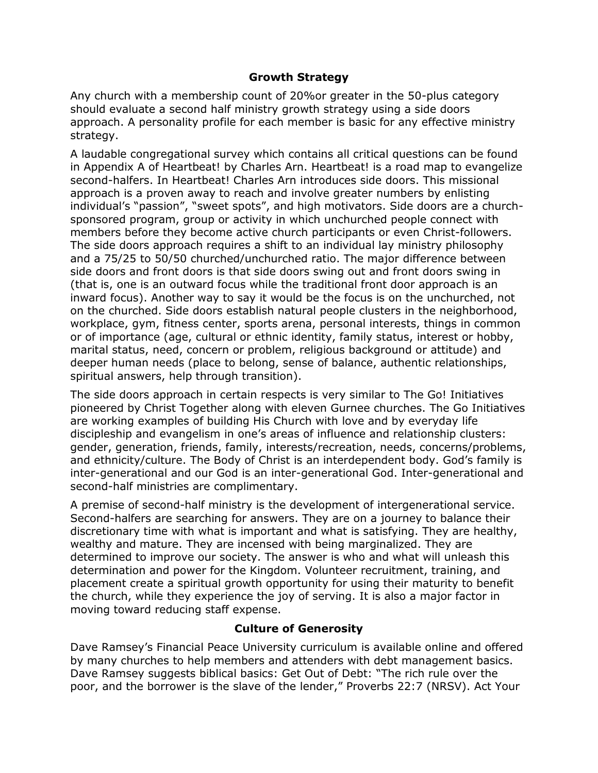#### **Growth Strategy**

Any church with a membership count of 20%or greater in the 50-plus category should evaluate a second half ministry growth strategy using a side doors approach. A personality profile for each member is basic for any effective ministry strategy.

A laudable congregational survey which contains all critical questions can be found in Appendix A of Heartbeat! by Charles Arn. Heartbeat! is a road map to evangelize second-halfers. In Heartbeat! Charles Arn introduces side doors. This missional approach is a proven away to reach and involve greater numbers by enlisting individual's "passion", "sweet spots", and high motivators. Side doors are a churchsponsored program, group or activity in which unchurched people connect with members before they become active church participants or even Christ-followers. The side doors approach requires a shift to an individual lay ministry philosophy and a 75/25 to 50/50 churched/unchurched ratio. The major difference between side doors and front doors is that side doors swing out and front doors swing in (that is, one is an outward focus while the traditional front door approach is an inward focus). Another way to say it would be the focus is on the unchurched, not on the churched. Side doors establish natural people clusters in the neighborhood, workplace, gym, fitness center, sports arena, personal interests, things in common or of importance (age, cultural or ethnic identity, family status, interest or hobby, marital status, need, concern or problem, religious background or attitude) and deeper human needs (place to belong, sense of balance, authentic relationships, spiritual answers, help through transition).

The side doors approach in certain respects is very similar to The Go! Initiatives pioneered by Christ Together along with eleven Gurnee churches. The Go Initiatives are working examples of building His Church with love and by everyday life discipleship and evangelism in one's areas of influence and relationship clusters: gender, generation, friends, family, interests/recreation, needs, concerns/problems, and ethnicity/culture. The Body of Christ is an interdependent body. God's family is inter-generational and our God is an inter-generational God. Inter-generational and second-half ministries are complimentary.

A premise of second-half ministry is the development of intergenerational service. Second-halfers are searching for answers. They are on a journey to balance their discretionary time with what is important and what is satisfying. They are healthy, wealthy and mature. They are incensed with being marginalized. They are determined to improve our society. The answer is who and what will unleash this determination and power for the Kingdom. Volunteer recruitment, training, and placement create a spiritual growth opportunity for using their maturity to benefit the church, while they experience the joy of serving. It is also a major factor in moving toward reducing staff expense.

## **Culture of Generosity**

Dave Ramsey's Financial Peace University curriculum is available online and offered by many churches to help members and attenders with debt management basics. Dave Ramsey suggests biblical basics: Get Out of Debt: "The rich rule over the poor, and the borrower is the slave of the lender," Proverbs 22:7 (NRSV). Act Your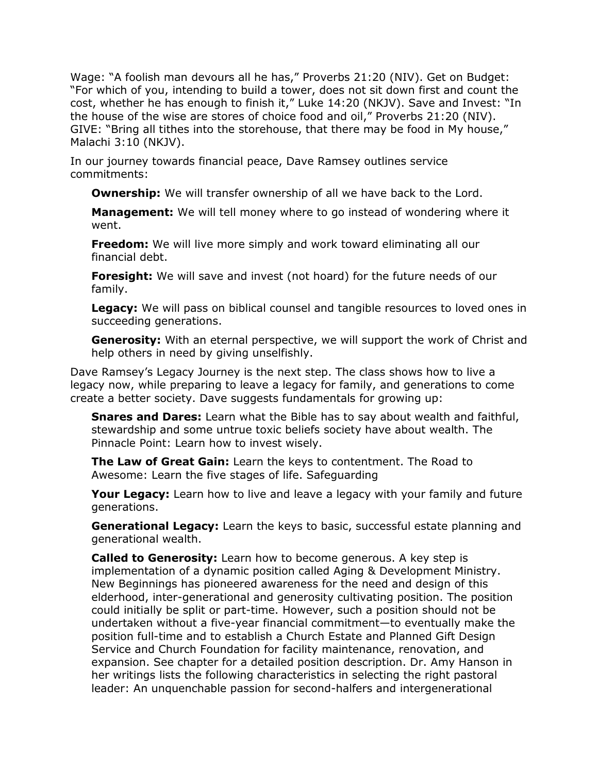Wage: "A foolish man devours all he has," Proverbs 21:20 (NIV). Get on Budget: "For which of you, intending to build a tower, does not sit down first and count the cost, whether he has enough to finish it," Luke 14:20 (NKJV). Save and Invest: "In the house of the wise are stores of choice food and oil," Proverbs 21:20 (NIV). GIVE: "Bring all tithes into the storehouse, that there may be food in My house," Malachi 3:10 (NKJV).

In our journey towards financial peace, Dave Ramsey outlines service commitments:

**Ownership:** We will transfer ownership of all we have back to the Lord.

**Management:** We will tell money where to go instead of wondering where it went.

**Freedom:** We will live more simply and work toward eliminating all our financial debt.

**Foresight:** We will save and invest (not hoard) for the future needs of our family.

**Legacy:** We will pass on biblical counsel and tangible resources to loved ones in succeeding generations.

**Generosity:** With an eternal perspective, we will support the work of Christ and help others in need by giving unselfishly.

Dave Ramsey's Legacy Journey is the next step. The class shows how to live a legacy now, while preparing to leave a legacy for family, and generations to come create a better society. Dave suggests fundamentals for growing up:

**Snares and Dares:** Learn what the Bible has to say about wealth and faithful, stewardship and some untrue toxic beliefs society have about wealth. The Pinnacle Point: Learn how to invest wisely.

**The Law of Great Gain:** Learn the keys to contentment. The Road to Awesome: Learn the five stages of life. Safeguarding

**Your Legacy:** Learn how to live and leave a legacy with your family and future generations.

**Generational Legacy:** Learn the keys to basic, successful estate planning and generational wealth.

**Called to Generosity:** Learn how to become generous. A key step is implementation of a dynamic position called Aging & Development Ministry. New Beginnings has pioneered awareness for the need and design of this elderhood, inter-generational and generosity cultivating position. The position could initially be split or part-time. However, such a position should not be undertaken without a five-year financial commitment—to eventually make the position full-time and to establish a Church Estate and Planned Gift Design Service and Church Foundation for facility maintenance, renovation, and expansion. See chapter for a detailed position description. Dr. Amy Hanson in her writings lists the following characteristics in selecting the right pastoral leader: An unquenchable passion for second-halfers and intergenerational